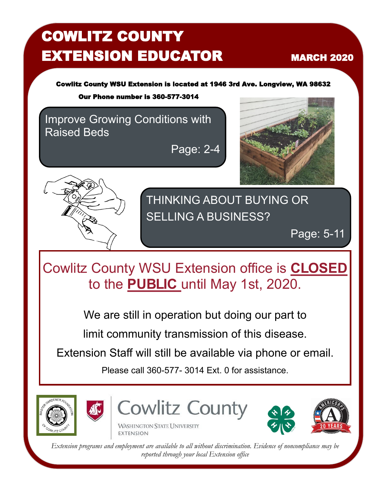# COWLITZ COUNTY **EXTENSION EDUCATOR MARCH 2020**

Cowlitz County WSU Extension is located at 1946 3rd Ave. Longview, WA 98632

Our Phone number is 360-577-3014

Improve Growing Conditions with Raised Beds

Page: 2-4





THINKING ABOUT BUYING OR SELLING A BUSINESS?

Page: 5-11

Cowlitz County WSU Extension office is **CLOSED** to the **PUBLIC** until May 1st, 2020.

We are still in operation but doing our part to

limit community transmission of this disease.

Extension Staff will still be available via phone or email.

Please call 360-577- 3014 Ext. 0 for assistance.





**Cowlitz County** 

**WASHINGTON STATE UNIVERSITY EXTENSION** 



*Extension programs and employment are available to all without discrimination. Evidence of noncompliance may be reported through your local Extension office*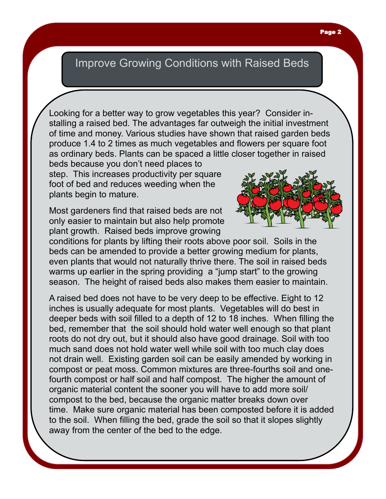## Improve Growing Conditions with Raised Beds

Looking for a better way to grow vegetables this year? Consider installing a raised bed. The advantages far outweigh the initial investment of time and money. Various studies have shown that raised garden beds produce 1.4 to 2 times as much vegetables and flowers per square foot as ordinary beds. Plants can be spaced a little closer together in raised

beds because you don't need places to step. This increases productivity per square foot of bed and reduces weeding when the plants begin to mature.

Most gardeners find that raised beds are not only easier to maintain but also help promote plant growth. Raised beds improve growing



conditions for plants by lifting their roots above poor soil. Soils in the beds can be amended to provide a better growing medium for plants, even plants that would not naturally thrive there. The soil in raised beds warms up earlier in the spring providing a "jump start" to the growing season. The height of raised beds also makes them easier to maintain.

A raised bed does not have to be very deep to be effective. Eight to 12 inches is usually adequate for most plants. Vegetables will do best in deeper beds with soil filled to a depth of 12 to 18 inches. When filling the bed, remember that the soil should hold water well enough so that plant roots do not dry out, but it should also have good drainage. Soil with too much sand does not hold water well while soil with too much clay does not drain well. Existing garden soil can be easily amended by working in compost or peat moss. Common mixtures are three-fourths soil and onefourth compost or half soil and half compost. The higher the amount of organic material content the sooner you will have to add more soil/ compost to the bed, because the organic matter breaks down over time. Make sure organic material has been composted before it is added to the soil. When filling the bed, grade the soil so that it slopes slightly away from the center of the bed to the edge.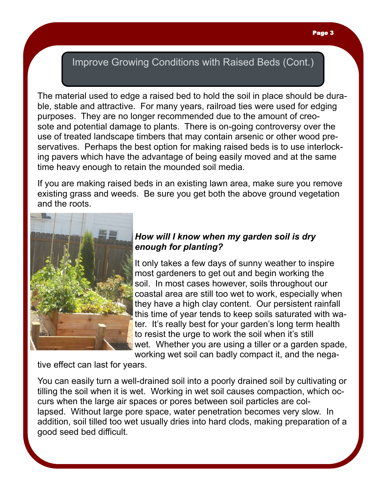#### Page 3

### Improve Growing Conditions with Raised Beds (Cont.)

The material used to edge a raised bed to hold the soil in place should be durable, stable and attractive. For many years, railroad ties were used for edging purposes. They are no longer recommended due to the amount of creosote and potential damage to plants. There is on-going controversy over the use of treated landscape timbers that may contain arsenic or other wood preservatives. Perhaps the best option for making raised beds is to use interlocking pavers which have the advantage of being easily moved and at the same time heavy enough to retain the mounded soil media.

If you are making raised beds in an existing lawn area, make sure you remove existing grass and weeds. Be sure you get both the above ground vegetation and the roots.



### *How will I know when my garden soil is dry enough for planting?*

It only takes a few days of sunny weather to inspire most gardeners to get out and begin working the soil. In most cases however, soils throughout our coastal area are still too wet to work, especially when they have a high clay content. Our persistent rainfall this time of year tends to keep soils saturated with water. It's really best for your garden's long term health to resist the urge to work the soil when it's still wet. Whether you are using a tiller or a garden spade, working wet soil can badly compact it, and the nega-

tive effect can last for years.

You can easily turn a well-drained soil into a poorly drained soil by cultivating or tilling the soil when it is wet. Working in wet soil causes compaction, which occurs when the large air spaces or pores between soil particles are collapsed. Without large pore space, water penetration becomes very slow. In addition, soil tilled too wet usually dries into hard clods, making preparation of a good seed bed difficult.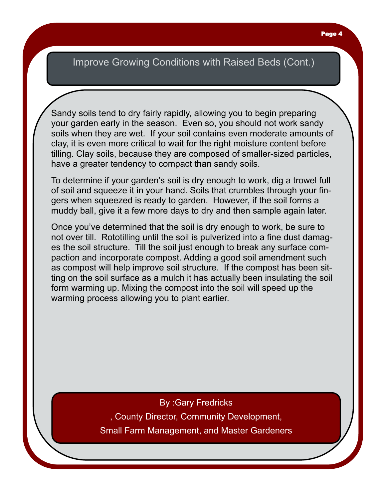### Improve Growing Conditions with Raised Beds (Cont.)

Sandy soils tend to dry fairly rapidly, allowing you to begin preparing your garden early in the season. Even so, you should not work sandy soils when they are wet. If your soil contains even moderate amounts of clay, it is even more critical to wait for the right moisture content before tilling. Clay soils, because they are composed of smaller-sized particles, have a greater tendency to compact than sandy soils.

To determine if your garden's soil is dry enough to work, dig a trowel full of soil and squeeze it in your hand. Soils that crumbles through your fingers when squeezed is ready to garden. However, if the soil forms a muddy ball, give it a few more days to dry and then sample again later.

Once you've determined that the soil is dry enough to work, be sure to not over till. Rototilling until the soil is pulverized into a fine dust damages the soil structure. Till the soil just enough to break any surface compaction and incorporate compost. Adding a good soil amendment such as compost will help improve soil structure. If the compost has been sitting on the soil surface as a mulch it has actually been insulating the soil form warming up. Mixing the compost into the soil will speed up the warming process allowing you to plant earlier.

> By :Gary Fredricks , County Director, Community Development, Small Farm Management, and Master Gardeners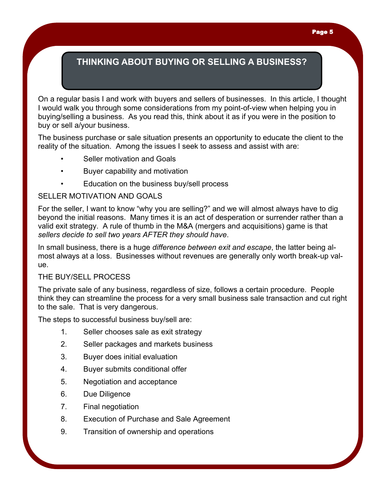On a regular basis I and work with buyers and sellers of businesses. In this article, I thought I would walk you through some considerations from my point-of-view when helping you in buying/selling a business. As you read this, think about it as if you were in the position to buy or sell a/your business.

The business purchase or sale situation presents an opportunity to educate the client to the reality of the situation. Among the issues I seek to assess and assist with are:

- Seller motivation and Goals
- Buyer capability and motivation
- Education on the business buy/sell process

#### SELLER MOTIVATION AND GOALS

For the seller, I want to know "why you are selling?" and we will almost always have to dig beyond the initial reasons. Many times it is an act of desperation or surrender rather than a valid exit strategy. A rule of thumb in the M&A (mergers and acquisitions) game is that *sellers decide to sell two years AFTER they should have*.

In small business, there is a huge *difference between exit and escape*, the latter being almost always at a loss. Businesses without revenues are generally only worth break-up value.

#### THE BUY/SELL PROCESS

The private sale of any business, regardless of size, follows a certain procedure. People think they can streamline the process for a very small business sale transaction and cut right to the sale. That is very dangerous.

The steps to successful business buy/sell are:

- 1. Seller chooses sale as exit strategy
- 2. Seller packages and markets business
- 3. Buyer does initial evaluation
- 4. Buyer submits conditional offer
- 5. Negotiation and acceptance
- 6. Due Diligence
- 7. Final negotiation
- 8. Execution of Purchase and Sale Agreement
- 9. Transition of ownership and operations

#### Page 5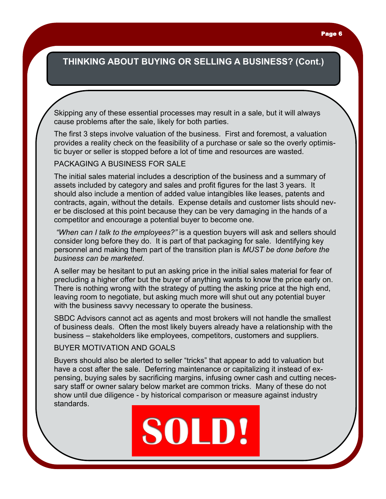Skipping any of these essential processes may result in a sale, but it will always cause problems after the sale, likely for both parties.

The first 3 steps involve valuation of the business. First and foremost, a valuation provides a reality check on the feasibility of a purchase or sale so the overly optimistic buyer or seller is stopped before a lot of time and resources are wasted.

#### PACKAGING A BUSINESS FOR SALE

The initial sales material includes a description of the business and a summary of assets included by category and sales and profit figures for the last 3 years. It should also include a mention of added value intangibles like leases, patents and contracts, again, without the details. Expense details and customer lists should never be disclosed at this point because they can be very damaging in the hands of a competitor and encourage a potential buyer to become one.

*"When can I talk to the employees?"* is a question buyers will ask and sellers should consider long before they do. It is part of that packaging for sale. Identifying key personnel and making them part of the transition plan is *MUST be done before the business can be marketed*.

A seller may be hesitant to put an asking price in the initial sales material for fear of precluding a higher offer but the buyer of anything wants to know the price early on. There is nothing wrong with the strategy of putting the asking price at the high end, leaving room to negotiate, but asking much more will shut out any potential buyer with the business savvy necessary to operate the business.

SBDC Advisors cannot act as agents and most brokers will not handle the smallest of business deals. Often the most likely buyers already have a relationship with the business – stakeholders like employees, competitors, customers and suppliers.

#### BUYER MOTIVATION AND GOALS

Buyers should also be alerted to seller "tricks" that appear to add to valuation but have a cost after the sale. Deferring maintenance or capitalizing it instead of expensing, buying sales by sacrificing margins, infusing owner cash and cutting necessary staff or owner salary below market are common tricks. Many of these do not show until due diligence - by historical comparison or measure against industry standards.

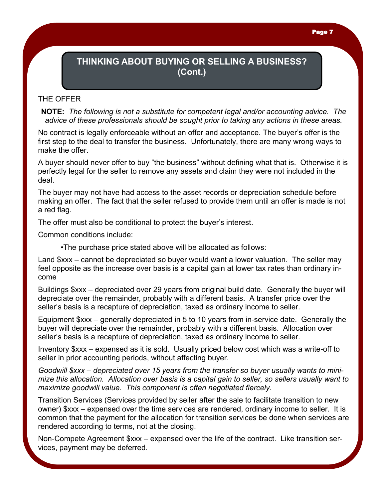#### Page 7

### **THINKING ABOUT BUYING OR SELLING A BUSINESS? (Cont.)**

#### THE OFFER

**NOTE:** *The following is not a substitute for competent legal and/or accounting advice. The advice of these professionals should be sought prior to taking any actions in these areas.*

No contract is legally enforceable without an offer and acceptance. The buyer's offer is the first step to the deal to transfer the business. Unfortunately, there are many wrong ways to make the offer.

A buyer should never offer to buy "the business" without defining what that is. Otherwise it is perfectly legal for the seller to remove any assets and claim they were not included in the deal.

The buyer may not have had access to the asset records or depreciation schedule before making an offer. The fact that the seller refused to provide them until an offer is made is not a red flag.

The offer must also be conditional to protect the buyer's interest.

Common conditions include:

•The purchase price stated above will be allocated as follows:

Land \$xxx – cannot be depreciated so buyer would want a lower valuation. The seller may feel opposite as the increase over basis is a capital gain at lower tax rates than ordinary income

Buildings \$xxx – depreciated over 29 years from original build date. Generally the buyer will depreciate over the remainder, probably with a different basis. A transfer price over the seller's basis is a recapture of depreciation, taxed as ordinary income to seller.

Equipment \$xxx – generally depreciated in 5 to 10 years from in-service date. Generally the buyer will depreciate over the remainder, probably with a different basis. Allocation over seller's basis is a recapture of depreciation, taxed as ordinary income to seller.

Inventory \$xxx – expensed as it is sold. Usually priced below cost which was a write-off to seller in prior accounting periods, without affecting buyer.

*Goodwill \$xxx – depreciated over 15 years from the transfer so buyer usually wants to minimize this allocation. Allocation over basis is a capital gain to seller, so sellers usually want to maximize goodwill value. This component is often negotiated fiercely.*

Transition Services (Services provided by seller after the sale to facilitate transition to new owner) \$xxx – expensed over the time services are rendered, ordinary income to seller. It is common that the payment for the allocation for transition services be done when services are rendered according to terms, not at the closing.

Non-Compete Agreement \$xxx – expensed over the life of the contract. Like transition services, payment may be deferred.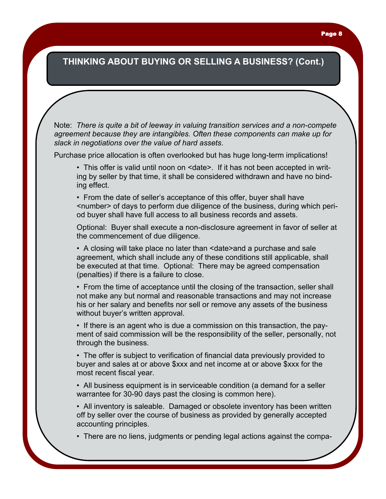Note: *There is quite a bit of leeway in valuing transition services and a non-compete agreement because they are intangibles. Often these components can make up for slack in negotiations over the value of hard assets*.

Purchase price allocation is often overlooked but has huge long-term implications!

• This offer is valid until noon on <date>. If it has not been accepted in writing by seller by that time, it shall be considered withdrawn and have no binding effect.

• From the date of seller's acceptance of this offer, buyer shall have <number> of days to perform due diligence of the business, during which period buyer shall have full access to all business records and assets.

Optional: Buyer shall execute a non-disclosure agreement in favor of seller at the commencement of due diligence.

• A closing will take place no later than <date>and a purchase and sale agreement, which shall include any of these conditions still applicable, shall be executed at that time. Optional: There may be agreed compensation (penalties) if there is a failure to close.

• From the time of acceptance until the closing of the transaction, seller shall not make any but normal and reasonable transactions and may not increase his or her salary and benefits nor sell or remove any assets of the business without buyer's written approval.

• If there is an agent who is due a commission on this transaction, the payment of said commission will be the responsibility of the seller, personally, not through the business.

• The offer is subject to verification of financial data previously provided to buyer and sales at or above \$xxx and net income at or above \$xxx for the most recent fiscal year.

• All business equipment is in serviceable condition (a demand for a seller warrantee for 30-90 days past the closing is common here).

• All inventory is saleable. Damaged or obsolete inventory has been written off by seller over the course of business as provided by generally accepted accounting principles.

• There are no liens, judgments or pending legal actions against the compa-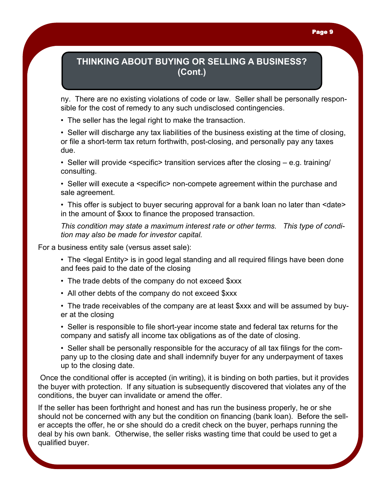ny. There are no existing violations of code or law. Seller shall be personally responsible for the cost of remedy to any such undisclosed contingencies.

• The seller has the legal right to make the transaction.

• Seller will discharge any tax liabilities of the business existing at the time of closing, or file a short-term tax return forthwith, post-closing, and personally pay any taxes due.

• Seller will provide <specific> transition services after the closing – e.g. training/ consulting.

• Seller will execute a <specific> non-compete agreement within the purchase and sale agreement.

• This offer is subject to buyer securing approval for a bank loan no later than <date> in the amount of \$xxx to finance the proposed transaction.

*This condition may state a maximum interest rate or other terms. This type of condition may also be made for investor capital.*

For a business entity sale (versus asset sale):

• The <legal Entity> is in good legal standing and all required filings have been done and fees paid to the date of the closing

- The trade debts of the company do not exceed \$xxx
- All other debts of the company do not exceed \$xxx
- The trade receivables of the company are at least \$xxx and will be assumed by buyer at the closing

• Seller is responsible to file short-year income state and federal tax returns for the company and satisfy all income tax obligations as of the date of closing.

• Seller shall be personally responsible for the accuracy of all tax filings for the company up to the closing date and shall indemnify buyer for any underpayment of taxes up to the closing date.

Once the conditional offer is accepted (in writing), it is binding on both parties, but it provides the buyer with protection. If any situation is subsequently discovered that violates any of the conditions, the buyer can invalidate or amend the offer.

If the seller has been forthright and honest and has run the business properly, he or she should not be concerned with any but the condition on financing (bank loan). Before the seller accepts the offer, he or she should do a credit check on the buyer, perhaps running the deal by his own bank. Otherwise, the seller risks wasting time that could be used to get a qualified buyer.

#### Page 9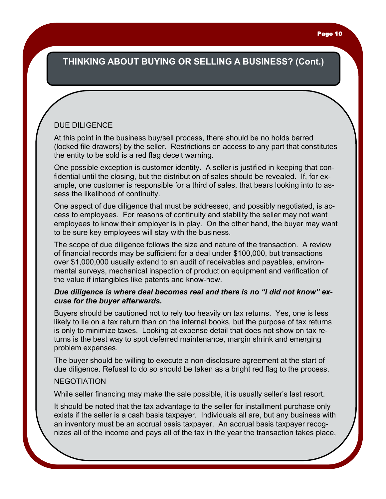### DUE DILIGENCE

At this point in the business buy/sell process, there should be no holds barred (locked file drawers) by the seller. Restrictions on access to any part that constitutes the entity to be sold is a red flag deceit warning.

One possible exception is customer identity. A seller is justified in keeping that confidential until the closing, but the distribution of sales should be revealed. If, for example, one customer is responsible for a third of sales, that bears looking into to assess the likelihood of continuity.

One aspect of due diligence that must be addressed, and possibly negotiated, is access to employees. For reasons of continuity and stability the seller may not want employees to know their employer is in play. On the other hand, the buyer may want to be sure key employees will stay with the business.

The scope of due diligence follows the size and nature of the transaction. A review of financial records may be sufficient for a deal under \$100,000, but transactions over \$1,000,000 usually extend to an audit of receivables and payables, environmental surveys, mechanical inspection of production equipment and verification of the value if intangibles like patents and know-how.

#### *Due diligence is where deal becomes real and there is no "I did not know" excuse for the buyer afterwards.*

Buyers should be cautioned not to rely too heavily on tax returns. Yes, one is less likely to lie on a tax return than on the internal books, but the purpose of tax returns is only to minimize taxes. Looking at expense detail that does not show on tax returns is the best way to spot deferred maintenance, margin shrink and emerging problem expenses.

The buyer should be willing to execute a non-disclosure agreement at the start of due diligence. Refusal to do so should be taken as a bright red flag to the process.

#### NEGOTIATION

While seller financing may make the sale possible, it is usually seller's last resort.

It should be noted that the tax advantage to the seller for installment purchase only exists if the seller is a cash basis taxpayer. Individuals all are, but any business with an inventory must be an accrual basis taxpayer. An accrual basis taxpayer recognizes all of the income and pays all of the tax in the year the transaction takes place,